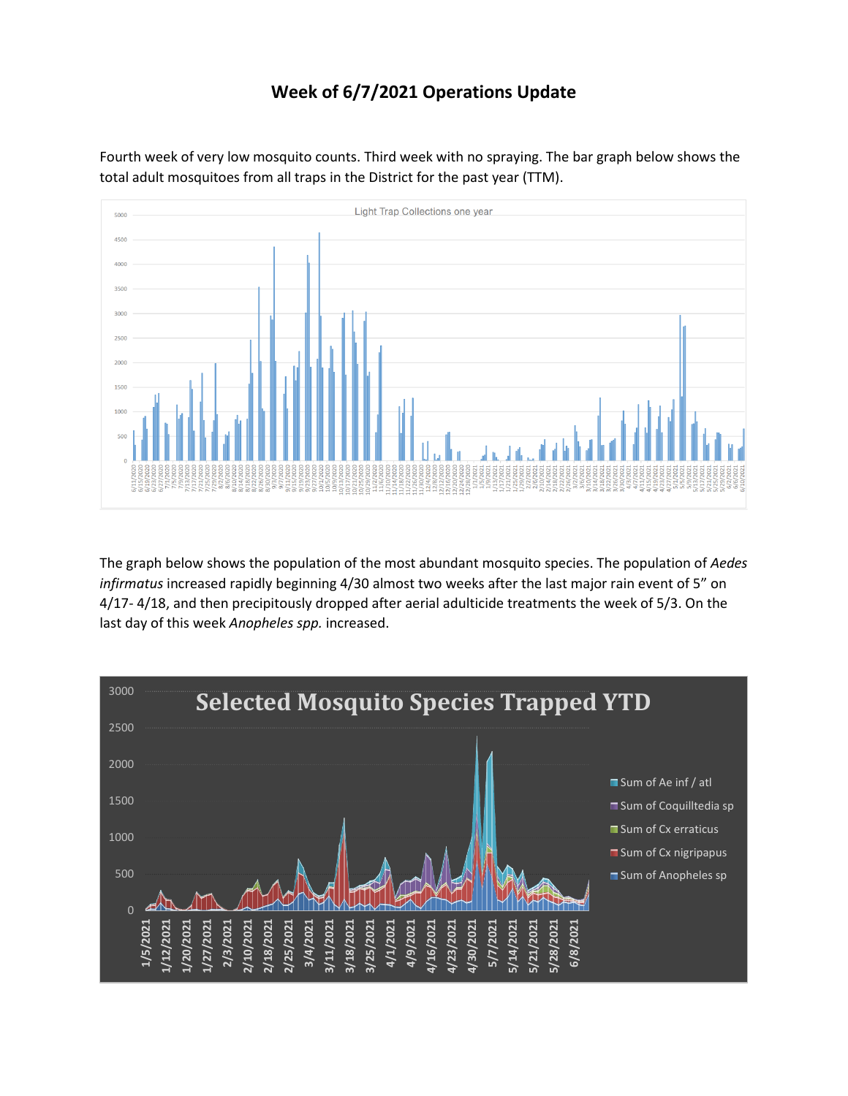## **Week of 6/7/2021 Operations Update**

Fourth week of very low mosquito counts. Third week with no spraying. The bar graph below shows the total adult mosquitoes from all traps in the District for the past year (TTM).



The graph below shows the population of the most abundant mosquito species. The population of *Aedes infirmatus* increased rapidly beginning 4/30 almost two weeks after the last major rain event of 5" on 4/17- 4/18, and then precipitously dropped after aerial adulticide treatments the week of 5/3. On the last day of this week *Anopheles spp.* increased.